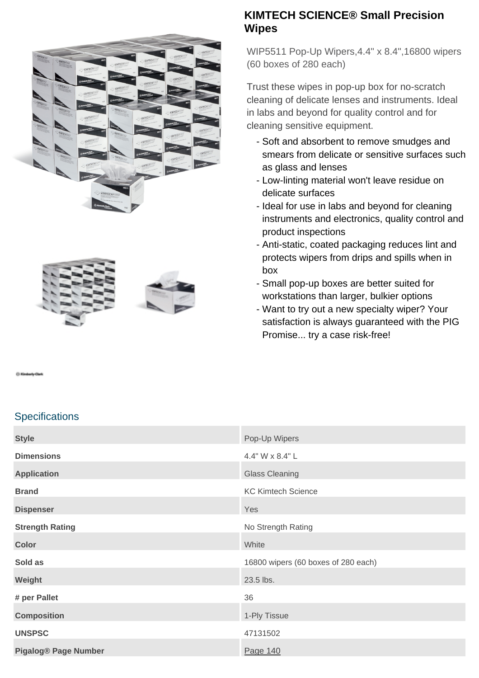



### **KIMTECH SCIENCE® Small Precision Wipes**

WIP5511 Pop-Up Wipers,4.4" x 8.4",16800 wipers (60 boxes of 280 each)

Trust these wipes in pop-up box for no-scratch cleaning of delicate lenses and instruments. Ideal in labs and beyond for quality control and for cleaning sensitive equipment.

- Soft and absorbent to remove smudges and smears from delicate or sensitive surfaces such as glass and lenses
- Low-linting material won't leave residue on delicate surfaces
- Ideal for use in labs and beyond for cleaning instruments and electronics, quality control and product inspections
- Anti-static, coated packaging reduces lint and protects wipers from drips and spills when in box
- Small pop-up boxes are better suited for workstations than larger, bulkier options
- Want to try out a new specialty wiper? Your satisfaction is always guaranteed with the PIG Promise... try a case risk-free!

### **Specifications**

| <b>Style</b>                | Pop-Up Wipers                       |
|-----------------------------|-------------------------------------|
| <b>Dimensions</b>           | 4.4" W x 8.4" L                     |
| <b>Application</b>          | <b>Glass Cleaning</b>               |
| <b>Brand</b>                | <b>KC Kimtech Science</b>           |
| <b>Dispenser</b>            | Yes                                 |
| <b>Strength Rating</b>      | No Strength Rating                  |
| <b>Color</b>                | White                               |
| Sold as                     | 16800 wipers (60 boxes of 280 each) |
| Weight                      | 23.5 lbs.                           |
| # per Pallet                | 36                                  |
| <b>Composition</b>          | 1-Ply Tissue                        |
| <b>UNSPSC</b>               | 47131502                            |
| <b>Pigalog® Page Number</b> | Page 140                            |